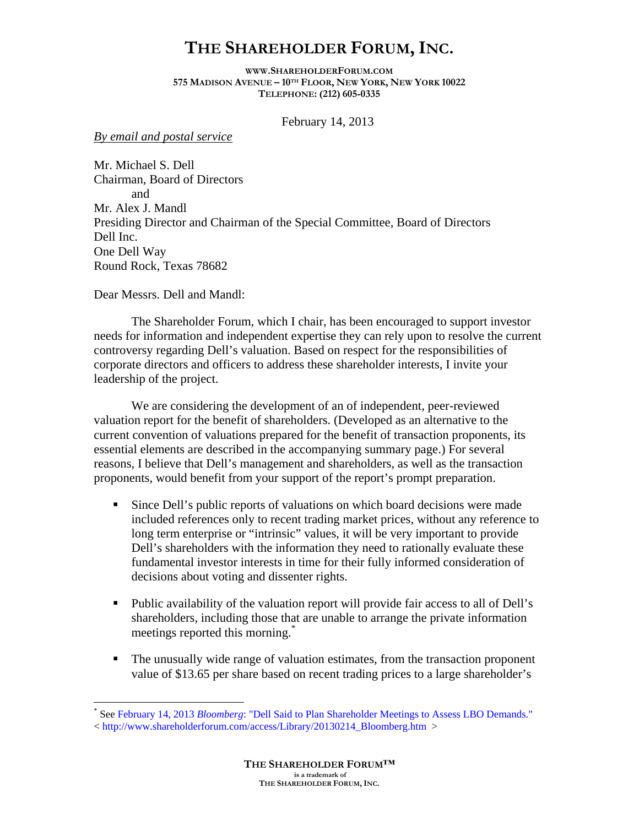## **THE SHAREHOLDER FORUM, INC.**

**[WWW.SHAREHOLDERFORUM.COM](http://www.shareholderforum.com/) 575 MADISON AVENUE – 10TH FLOOR, NEW YORK, NEW YORK 10022 TELEPHONE: (212) 605-0335** 

February 14, 2013

*By email and postal service* 

Mr. Michael S. Dell Chairman, Board of Directors and Mr. Alex J. Mandl Presiding Director and Chairman of the Special Committee, Board of Directors Dell Inc. One Dell Way Round Rock, Texas 78682

Dear Messrs. Dell and Mandl:

<u>.</u>

The Shareholder Forum, which I chair, has been encouraged to support investor needs for information and independent expertise they can rely upon to resolve the current controversy regarding Dell's valuation. Based on respect for the responsibilities of corporate directors and officers to address these shareholder interests, I invite your leadership of the project.

We are considering the development of an of independent, peer-reviewed valuation report for the benefit of shareholders. (Developed as an alternative to the current convention of valuations prepared for the benefit of transaction proponents, its essential elements are described in the accompanying summary page.) For several reasons, I believe that Dell's management and shareholders, as well as the transaction proponents, would benefit from your support of the report's prompt preparation.

- Since Dell's public reports of valuations on which board decisions were made included references only to recent trading market prices, without any reference to long term enterprise or "intrinsic" values, it will be very important to provide Dell's shareholders with the information they need to rationally evaluate these fundamental investor interests in time for their fully informed consideration of decisions about voting and dissenter rights.
- Public availability of the valuation report will provide fair access to all of Dell's shareholders, including those that are unable to arrange the private information meetings reported this morning.<sup>[\\*](#page-0-0)</sup>
- The unusually wide range of valuation estimates, from the transaction proponent value of \$13.65 per share based on recent trading prices to a large shareholder's

<span id="page-0-0"></span><sup>\*</sup> See February 14, 2013 *Bloomberg*[: "Dell Said to Plan Shareholder Meetings to Assess LBO Demands."](http://www.shareholderforum.com/access/Library/20130214_Bloomberg.htm)

<sup>&</sup>lt; [http://www.shareholderforum.com/access/Library/20130214\\_Bloomberg.htm](http://www.shareholderforum.com/access/Library/20130214_Bloomberg.htm) >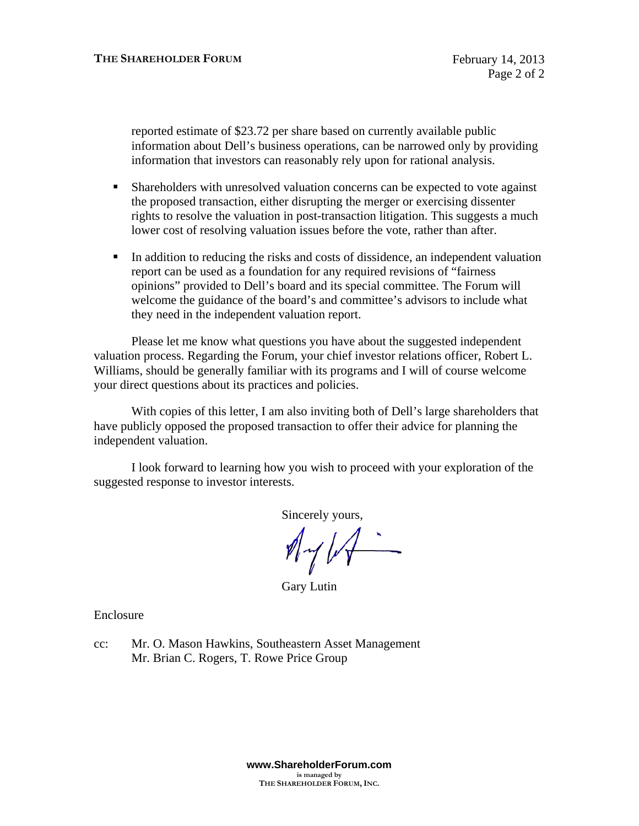reported estimate of \$23.72 per share based on currently available public information about Dell's business operations, can be narrowed only by providing information that investors can reasonably rely upon for rational analysis.

- Shareholders with unresolved valuation concerns can be expected to vote against the proposed transaction, either disrupting the merger or exercising dissenter rights to resolve the valuation in post-transaction litigation. This suggests a much lower cost of resolving valuation issues before the vote, rather than after.
- In addition to reducing the risks and costs of dissidence, an independent valuation report can be used as a foundation for any required revisions of "fairness opinions" provided to Dell's board and its special committee. The Forum will welcome the guidance of the board's and committee's advisors to include what they need in the independent valuation report.

Please let me know what questions you have about the suggested independent valuation process. Regarding the Forum, your chief investor relations officer, Robert L. Williams, should be generally familiar with its programs and I will of course welcome your direct questions about its practices and policies.

With copies of this letter, I am also inviting both of Dell's large shareholders that have publicly opposed the proposed transaction to offer their advice for planning the independent valuation.

I look forward to learning how you wish to proceed with your exploration of the suggested response to investor interests.

Sincerely yours,

 $M_{\gamma}/\sqrt{2}$ 

Gary Lutin

Enclosure

cc: Mr. O. Mason Hawkins, Southeastern Asset Management Mr. Brian C. Rogers, T. Rowe Price Group